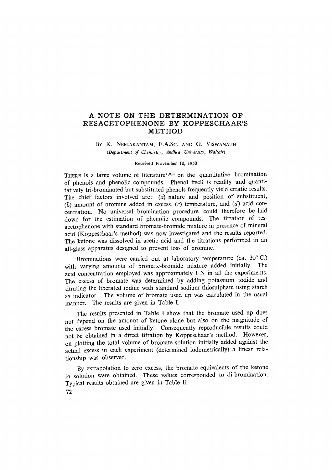# **A NOTE ON THE DETERMINATION OF RESACETOPHENONE BY KOPPESCHAAR'S METHOD**

# BY K. NEELAKANTAM, F.A.Sc, AND G. VISWANATH *(Department of Chemistry, Andhra University, V/altair)*

#### **Received November 10, 1950**

THERE is a large volume of literature<sup>1,2,3</sup> on the quantitative bromination of phenols and phenolic compounds. Phenol itself is readily and quantitatively tri-brominated but substituted phenols frequently yield erratic results. The chief factors involved are: (a) nature and position of substituent, (b) amount of bromine added in excess,  $(c)$  temperature, and  $(d)$  acid concentration. No universal brominafion procedure could therefore be laid down for the estimation of phenolic compounds. The titration of resacetophenone with standard bromate-bromide mixture in presence of mineral acid (Koppeschaar's method) was now investigated and the results reported, The ketone was dissolved in acetic acid and the titrations performed in an all-glass apparatus designed to prevent loss of bromine.

Brominations were carried out at laboratory temperature (ca. 30°C.) with varying amounts of bromate-bromide mixture added initially The acid concentration employed was approximately 1 N in all the experiments. The excess of bromate was determined by adding potassium iodide and titrating the liberated iodine with standard sodium thiosulphate using starch as indicator. The volume of bromate used up was calculated in the usual manner. The results are given in Table I.

The results presented in Table I show that the bromate used up does not depend on the amount of ketone alone but also on the magnitude of the excess bromate used initially, Consequently reproducible results could not be obtained in a direct titration by Koppeschaar's method. However, on plotting the total volume of bromate solution initially added against the actual excess in each experiment (determined iodometrically) a linear relationship was observed.

By extrapolation to zero excess, the bromate equivalents of the ketone in solution were obtained. These values corresponded to di-brominafion. Typical results obtained are given in Table I1.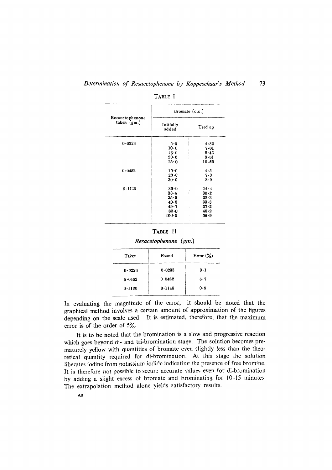|                                  | Bromate $(c.c.)$   |           |  |
|----------------------------------|--------------------|-----------|--|
| Resacetophenone<br>taken $(g_m)$ | Initially<br>added | Used up   |  |
| 0.0226                           | 5.0                | 4.82      |  |
|                                  | $10 - 0$           | 7.01      |  |
|                                  | $15-0$             | 8.43      |  |
|                                  | 20.0               | 9.61      |  |
|                                  | 25.0               | $10 - 55$ |  |
| $0 - 0452$                       | $10 - 0$           | 4.5       |  |
|                                  | $20 - 0$           | 7.3       |  |
|                                  | $30-0$             | $8 - 9$   |  |
| $0 - 1130$                       | $30-0$             | $24 - 4$  |  |
|                                  | $33 - 5$           | $30-2$    |  |
|                                  | $35 - 9$           | 32.3      |  |
|                                  | 40.0               | $33 - 3$  |  |
|                                  | $49 - 7$           | $37 - 2$  |  |
|                                  | $80 - 0$           | 48.2      |  |
|                                  | $100 - 0$          | $56 - 9$  |  |

TABLE I

| Taken  | Found  | Error $(\%)$ |  |
|--------|--------|--------------|--|
| 0.0226 | 0.0233 | $3-1$        |  |
| 0.0452 | 0 0482 | $6 - 7$      |  |
| 0.1130 | 0.1140 | 0.9          |  |

*Resacetophenone (gm.)* 

In evaluating the magnitude of the error, it should be noted that the graphical method involves a certain amount of approximation of the figures depending on the scale used. It is estimated, therefore, that the maximum error is of the order of 5%.

It is to be noted that the bromination is a slow and progressive reaction which goes beyond di- and tri-bromination stage. The solution becomes prematurely yellow with quantities of bromate even slightly less than the theoretical quantity required for di-bromination. At this stage the solution liberates iodine from potassium iodide indicating the presence of free bromine. It is therefore not possible to secure accurate values even for di-bromination by adding a slight excess of bromate and brominating for 10-15 minutes The extrapolation method alone yields satisfactory results.